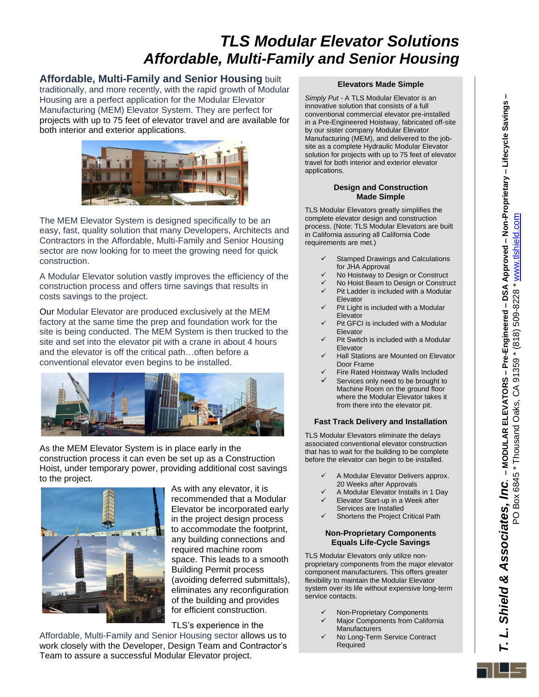# *TLS Modular Elevator Solutions Affordable, Multi-Family and Senior Housing*

### **Affordable, Multi-Family and Senior Housing** built

traditionally, and more recently, with the rapid growth of Modular Housing are a perfect application for the Modular Elevator Manufacturing (MEM) Elevator System. They are perfect for projects with up to 75 feet of elevator travel and are available for both interior and exterior applications.



The MEM Elevator System is designed specifically to be an easy, fast, quality solution that many Developers, Architects and Contractors in the Affordable, Multi-Family and Senior Housing sector are now looking for to meet the growing need for quick construction.

A Modular Elevator solution vastly improves the efficiency of the construction process and offers time savings that results in costs savings to the project.

Our Modular Elevator are produced exclusively at the MEM factory at the same time the prep and foundation work for the site is being conducted. The MEM System is then trucked to the site and set into the elevator pit with a crane in about 4 hours and the elevator is off the critical path…often before a conventional elevator even begins to be installed.



As the MEM Elevator System is in place early in the construction process it can even be set up as a Construction Hoist, under temporary power, providing additional cost savings to the project.



As with any elevator, it is recommended that a Modular Elevator be incorporated early in the project design process to accommodate the footprint, any building connections and required machine room space. This leads to a smooth Building Permit process (avoiding deferred submittals), eliminates any reconfiguration of the building and provides for efficient construction.

TLS's experience in the

Affordable, Multi-Family and Senior Housing sector allows us to work closely with the Developer, Design Team and Contractor's Team to assure a successful Modular Elevator project.

#### **Elevators Made Simple**

*Simply Put* - A TLS Modular Elevator is an innovative solution that consists of a full conventional commercial elevator pre-installed in a Pre-Engineered Hoistway, fabricated off-site by our sister company Modular Elevator Manufacturing (MEM), and delivered to the jobsite as a complete Hydraulic Modular Elevator solution for projects with up to 75 feet of elevator travel for both interior and exterior elevator applications.

#### **Design and Construction Made Simple**

TLS Modular Elevators greatly simplifies the complete elevator design and construction process. (Note: TLS Modular Elevators are built in California assuring all California Code requirements are met.)

- Stamped Drawings and Calculations for JHA Approval
- No Hoistway to Design or Construct
- ✓ No Hoist Beam to Design or Construct Pit Ladder is included with a Modular
- Elevator Pit Light is included with a Modular Elevator
- Pit GFCI is included with a Modular Elevator
- Pit Switch is included with a Modular Elevator
- **Hall Stations are Mounted on Elevator** Door Frame
- Fire Rated Hoistway Walls Included Services only need to be brought to Machine Room on the ground floor where the Modular Elevator takes it from there into the elevator pit.

#### **Fast Track Delivery and Installation**

TLS Modular Elevators eliminate the delays associated conventional elevator construction that has to wait for the building to be complete before the elevator can begin to be installed.

- A Modular Elevator Delivers approx. 20 Weeks after Approvals
- ✓ A Modular Elevator Installs in 1 Day Elevator Start-up in a Week after
- Services are Installed
- Shortens the Project Critical Path

#### **Non-Proprietary Components Equals Life-Cycle Savings**

TLS Modular Elevators only utilize nonproprietary components from the major elevator component manufacturers. This offers greater flexibility to maintain the Modular Elevator system over its life without expensive long-term service contacts.

- ✓ Non-Proprietary Components
- Major Components from California **Manufacturers**
- ✓ No Long-Term Service Contract Required